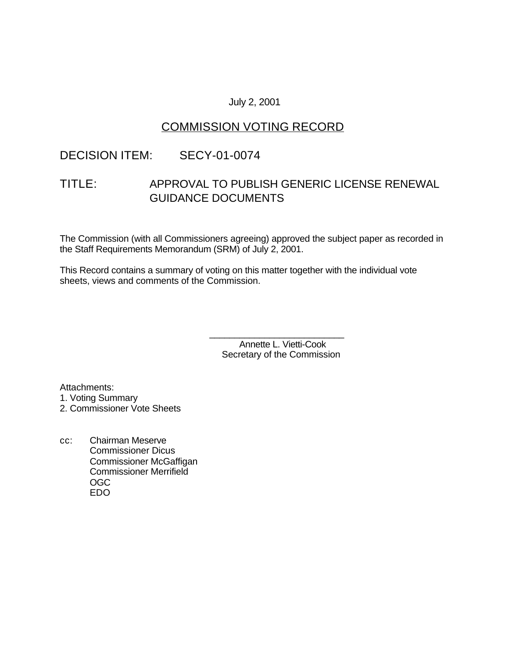### July 2, 2001

# COMMISSION VOTING RECORD

### DECISION ITEM: SECY-01-0074

# TITLE: APPROVAL TO PUBLISH GENERIC LICENSE RENEWAL GUIDANCE DOCUMENTS

The Commission (with all Commissioners agreeing) approved the subject paper as recorded in the Staff Requirements Memorandum (SRM) of July 2, 2001.

This Record contains a summary of voting on this matter together with the individual vote sheets, views and comments of the Commission.

> Annette L. Vietti-Cook Secretary of the Commission

\_\_\_\_\_\_\_\_\_\_\_\_\_\_\_\_\_\_\_\_\_\_\_\_\_\_\_

Attachments: 1. Voting Summary

2. Commissioner Vote Sheets

cc: Chairman Meserve Commissioner Dicus Commissioner McGaffigan Commissioner Merrifield OGC EDO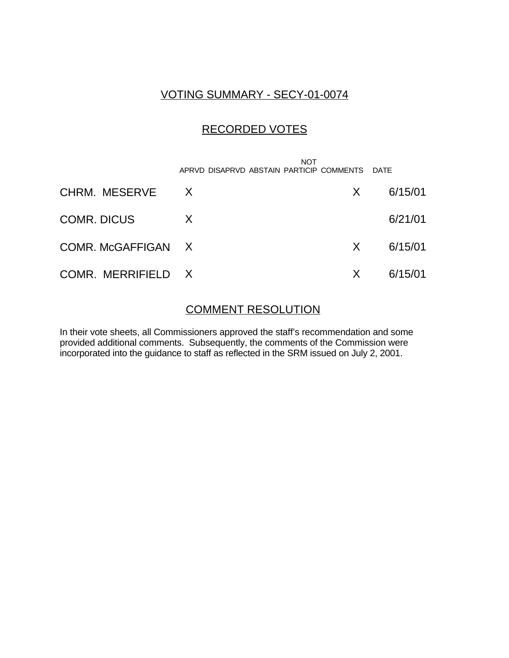# VOTING SUMMARY - SECY-01-0074

# RECORDED VOTES

|                    | NOT<br>APRVD DISAPRVD ABSTAIN PARTICIP COMMENTS DATE |    |         |
|--------------------|------------------------------------------------------|----|---------|
| CHRM. MESERVE      | $\mathsf{X}$                                         | X. | 6/15/01 |
| <b>COMR. DICUS</b> | X                                                    |    | 6/21/01 |
| COMR. McGAFFIGAN X |                                                      | X  | 6/15/01 |
| COMR. MERRIFIELD X |                                                      | X  | 6/15/01 |

### COMMENT RESOLUTION

In their vote sheets, all Commissioners approved the staff's recommendation and some provided additional comments. Subsequently, the comments of the Commission were incorporated into the guidance to staff as reflected in the SRM issued on July 2, 2001.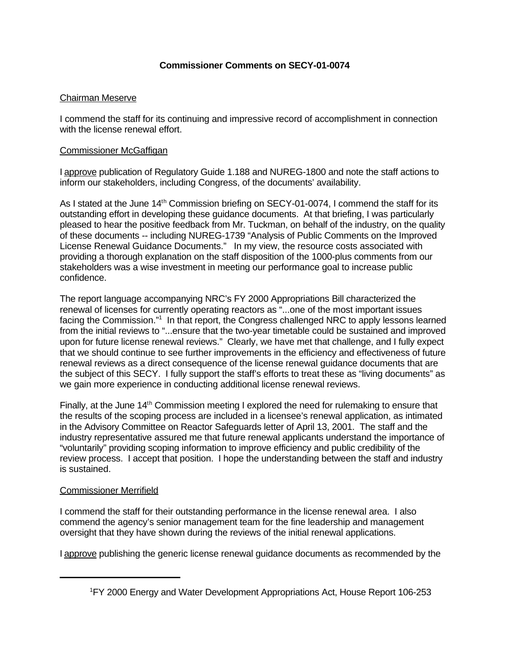### **Commissioner Comments on SECY-01-0074**

### Chairman Meserve

I commend the staff for its continuing and impressive record of accomplishment in connection with the license renewal effort.

#### Commissioner McGaffigan

I approve publication of Regulatory Guide 1.188 and NUREG-1800 and note the staff actions to inform our stakeholders, including Congress, of the documents' availability.

As I stated at the June 14<sup>th</sup> Commission briefing on SECY-01-0074, I commend the staff for its outstanding effort in developing these guidance documents. At that briefing, I was particularly pleased to hear the positive feedback from Mr. Tuckman, on behalf of the industry, on the quality of these documents -- including NUREG-1739 "Analysis of Public Comments on the Improved License Renewal Guidance Documents." In my view, the resource costs associated with providing a thorough explanation on the staff disposition of the 1000-plus comments from our stakeholders was a wise investment in meeting our performance goal to increase public confidence.

The report language accompanying NRC's FY 2000 Appropriations Bill characterized the renewal of licenses for currently operating reactors as "...one of the most important issues facing the Commission."<sup>1</sup> In that report, the Congress challenged NRC to apply lessons learned from the initial reviews to "...ensure that the two-year timetable could be sustained and improved upon for future license renewal reviews." Clearly, we have met that challenge, and I fully expect that we should continue to see further improvements in the efficiency and effectiveness of future renewal reviews as a direct consequence of the license renewal guidance documents that are the subject of this SECY. I fully support the staff's efforts to treat these as "living documents" as we gain more experience in conducting additional license renewal reviews.

Finally, at the June 14<sup>th</sup> Commission meeting I explored the need for rulemaking to ensure that the results of the scoping process are included in a licensee's renewal application, as intimated in the Advisory Committee on Reactor Safeguards letter of April 13, 2001. The staff and the industry representative assured me that future renewal applicants understand the importance of "voluntarily" providing scoping information to improve efficiency and public credibility of the review process. I accept that position. I hope the understanding between the staff and industry is sustained.

#### Commissioner Merrifield

I commend the staff for their outstanding performance in the license renewal area. I also commend the agency's senior management team for the fine leadership and management oversight that they have shown during the reviews of the initial renewal applications.

I approve publishing the generic license renewal guidance documents as recommended by the

<sup>1</sup>FY 2000 Energy and Water Development Appropriations Act, House Report 106-253